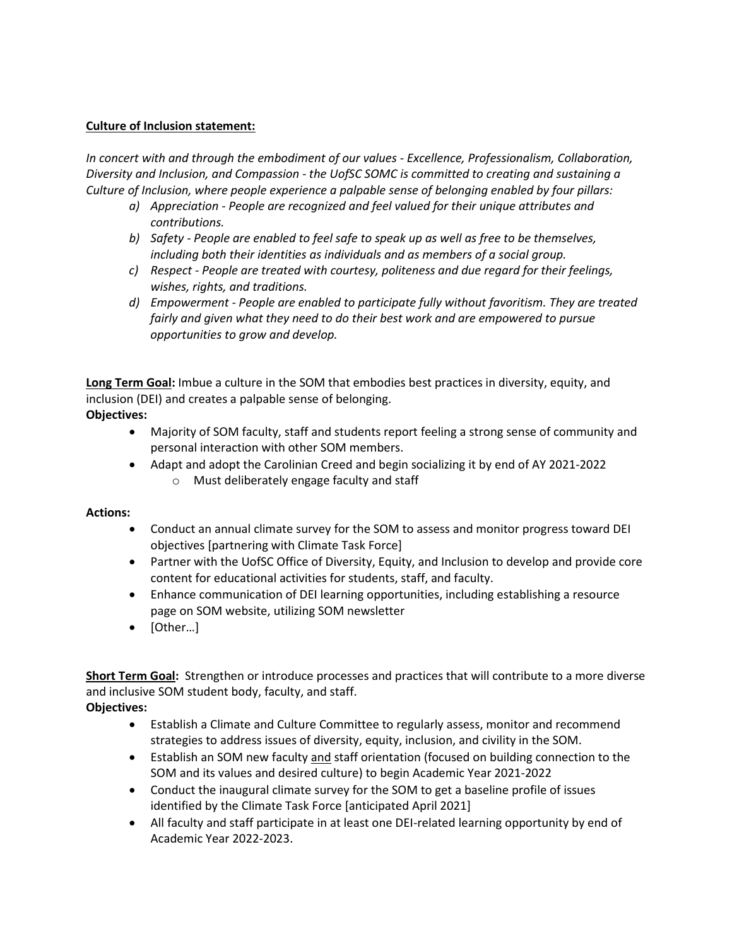## **Culture of Inclusion statement:**

*In concert with and through the embodiment of our values - Excellence, Professionalism, Collaboration, Diversity and Inclusion, and Compassion - the UofSC SOMC is committed to creating and sustaining a Culture of Inclusion, where people experience a palpable sense of belonging enabled by four pillars:* 

- *a) Appreciation - People are recognized and feel valued for their unique attributes and contributions.*
- *b) Safety - People are enabled to feel safe to speak up as well as free to be themselves, including both their identities as individuals and as members of a social group.*
- *c) Respect - People are treated with courtesy, politeness and due regard for their feelings, wishes, rights, and traditions.*
- *d) Empowerment - People are enabled to participate fully without favoritism. They are treated fairly and given what they need to do their best work and are empowered to pursue opportunities to grow and develop.*

**Long Term Goal:** Imbue a culture in the SOM that embodies best practices in diversity, equity, and inclusion (DEI) and creates a palpable sense of belonging. **Objectives:** 

- Majority of SOM faculty, staff and students report feeling a strong sense of community and personal interaction with other SOM members.
- Adapt and adopt the Carolinian Creed and begin socializing it by end of AY 2021-2022 o Must deliberately engage faculty and staff

## **Actions:**

- Conduct an annual climate survey for the SOM to assess and monitor progress toward DEI objectives [partnering with Climate Task Force]
- Partner with the UofSC Office of Diversity, Equity, and Inclusion to develop and provide core content for educational activities for students, staff, and faculty.
- Enhance communication of DEI learning opportunities, including establishing a resource page on SOM website, utilizing SOM newsletter
- [Other…]

**Short Term Goal:** Strengthen or introduce processes and practices that will contribute to a more diverse and inclusive SOM student body, faculty, and staff.

**Objectives:**

- Establish a Climate and Culture Committee to regularly assess, monitor and recommend strategies to address issues of diversity, equity, inclusion, and civility in the SOM.
- Establish an SOM new faculty and staff orientation (focused on building connection to the SOM and its values and desired culture) to begin Academic Year 2021-2022
- Conduct the inaugural climate survey for the SOM to get a baseline profile of issues identified by the Climate Task Force [anticipated April 2021]
- All faculty and staff participate in at least one DEI-related learning opportunity by end of Academic Year 2022-2023.